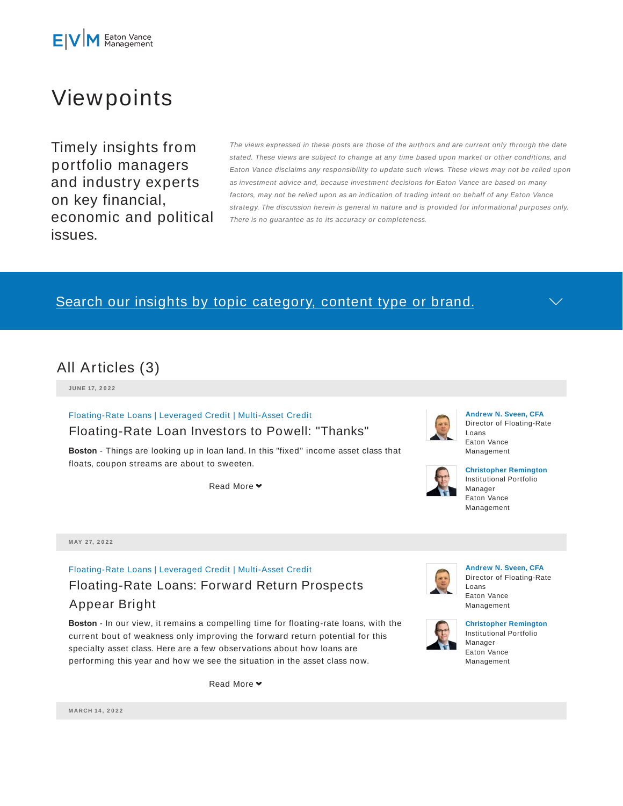

# Viewpoints

Timely insights from portfolio managers and industry experts on key financial, economic and political issues.

The views expressed in these posts are those of the authors and are current only through the date stated. These views are subject to change at any time based upon market or other conditions, and Eaton Vance disclaims any responsibility to update such views. These views may not be relied upon as investment advice and, because investment decisions for Eaton Vance are based on many factors, may not be relied upon as an indication of trading intent on behalf of any Eaton Vance strategy. The discussion herein is general in nature and is provided for informational purposes only. There is no guarantee as to its accuracy or completeness.

# Search our insights by topic category, content type or brand.



**JU N E 17, 2 0 2 2**

Floating-Rate Loans | Leveraged Credit | Multi-Asset Credit

### Floating-Rate Loan Investors to Powell: "Thanks"

**Boston** - Things are looking up in loan land. In this "fixed" income asset class that floats, coupon streams are about to sweeten.

Read More **▼** 



#### **Andrew N. Sveen, CFA** Director of Floating-Rate Loans Eaton Vance Management



#### **Christopher Remington** Institutional Portfolio Manager Eaton Vance Management

**M AY 2 7, 2 0 2 2**

# Floating-Rate Loans | Leveraged Credit | Multi-Asset Credit Floating-Rate Loans: Forward Return Prospects Appear Bright

**Boston** - In our view, it remains a compelling time for floating-rate loans, with the current bout of weakness only improving the forward return potential for this specialty asset class. Here are a few observations about how loans are performing this year and how we see the situation in the asset class now.

Read More  $\blacktriangleright$ 



**Andrew N. Sveen, CFA** Director of Floating-Rate Loans Eaton Vance Management



**Christopher Remington** Institutional Portfolio Manager Eaton Vance Management

**M ARCH 14 , 2 0 2 2**